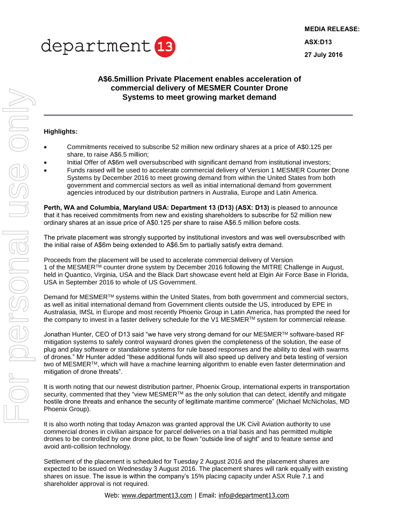

**MEDIA RELEASE: ASX:D13 27 July 2016**

## **A\$6.5million Private Placement enables acceleration of commercial delivery of MESMER Counter Drone Systems to meet growing market demand**

## **Highlights:**

- Commitments received to subscribe 52 million new ordinary shares at a price of A\$0.125 per share, to raise A\$6.5 million;
- Initial Offer of A\$6m well oversubscribed with significant demand from institutional investors;
- Funds raised will be used to accelerate commercial delivery of Version 1 MESMER Counter Drone Systems by December 2016 to meet growing demand from within the United States from both government and commercial sectors as well as initial international demand from government agencies introduced by our distribution partners in Australia, Europe and Latin America.

**Perth, WA and Columbia, Maryland USA: Department 13 (D13) (ASX: D13)** is pleased to announce that it has received commitments from new and existing shareholders to subscribe for 52 million new ordinary shares at an issue price of A\$0.125 per share to raise A\$6.5 million before costs.

The private placement was strongly supported by institutional investors and was well oversubscribed with the initial raise of A\$6m being extended to A\$6.5m to partially satisfy extra demand.

Proceeds from the placement will be used to accelerate commercial delivery of Version 1 of the MESMER<sup>™</sup> counter drone system by December 2016 following the MITRE Challenge in August, held in Quantico, Virginia, USA and the Black Dart showcase event held at Elgin Air Force Base in Florida, USA in September 2016 to whole of US Government.

Demand for MESMER<sup>™</sup> systems within the United States, from both government and commercial sectors, as well as initial international demand from Government clients outside the US, introduced by EPE in Australasia, IMSL in Europe and most recently Phoenix Group in Latin America, has prompted the need for the company to invest in a faster delivery schedule for the V1 MESMER<sup>TM</sup> system for commercial release.

Jonathan Hunter, CEO of D13 said "we have very strong demand for our MESMER™ software-based RF mitigation systems to safely control wayward drones given the completeness of the solution, the ease of plug and play software or standalone systems for rule based responses and the ability to deal with swarms of drones." Mr Hunter added "these additional funds will also speed up delivery and beta testing of version two of MESMER™, which will have a machine learning algorithm to enable even faster determination and mitigation of drone threats".

It is worth noting that our newest distribution partner, Phoenix Group, international experts in transportation security, commented that they "view MESMER™ as the only solution that can detect, identify and mitigate hostile drone threats and enhance the security of legitimate maritime commerce" (Michael McNicholas, MD Phoenix Group).

It is also worth noting that today Amazon was granted approval the UK Civil Aviation authority to use commercial drones in civilian airspace for parcel deliveries on a trial basis and has permitted multiple drones to be controlled by one drone pilot, to be flown "outside line of sight" and to feature sense and avoid anti-collision technology.

Settlement of the placement is scheduled for Tuesday 2 August 2016 and the placement shares are expected to be issued on Wednesday 3 August 2016. The placement shares will rank equally with existing shares on issue. The issue is within the company's 15% placing capacity under ASX Rule 7.1 and shareholder approval is not required.

Web: www.[department13.com](mailto:info@department13.com) | Email: info@department13.com